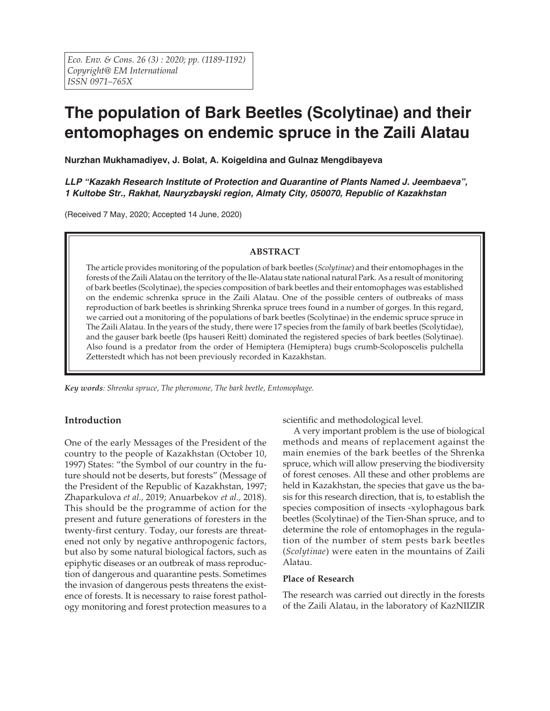# **The population of Bark Beetles (Scolytinae) and their entomophages on endemic spruce in the Zaili Alatau**

**Nurzhan Mukhamadiyev, J. Bolat, A. Koigeldina and Gulnaz Mengdibayeva**

*LLP "Kazakh Research Institute of Protection and Quarantine of Plants Named J. Jeembaeva", 1 Kultobe Str., Rakhat, Nauryzbayski region, Almaty City, 050070, Republic of Kazakhstan*

(Received 7 May, 2020; Accepted 14 June, 2020)

# **ABSTRACT**

The article provides monitoring of the population of bark beetles (*Scolytinae*) and their entomophages in the forests of the Zaili Alatau on the territory of the Ile-Alatau state national natural Park. As a result of monitoring of bark beetles (Scolytinae), the species composition of bark beetles and their entomophages was established on the endemic schrenka spruce in the Zaili Alatau. One of the possible centers of outbreaks of mass reproduction of bark beetles is shrinking Shrenka spruce trees found in a number of gorges. In this regard, we carried out a monitoring of the populations of bark beetles (Scolytinae) in the endemic spruce spruce in The Zaili Alatau. In the years of the study, there were 17 species from the family of bark beetles (Scolytidae), and the gauser bark beetle (Ips hauseri Reitt) dominated the registered species of bark beetles (Solytinae). Also found is a predator from the order of Hemiptera (Hemiptera) bugs crumb-Scoloposcelis pulchella Zetterstedt which has not been previously recorded in Kazakhstan.

*Key words: Shrenka spruce, The pheromone, The bark beetle, Entomophage.*

# **Introduction**

One of the early Messages of the President of the country to the people of Kazakhstan (October 10, 1997) States: "the Symbol of our country in the future should not be deserts, but forests" (Message of the President of the Republic of Kazakhstan, 1997; Zhaparkulova *et al.,* 2019; Anuarbekov *et al.,* 2018). This should be the programme of action for the present and future generations of foresters in the twenty-first century. Today, our forests are threatened not only by negative anthropogenic factors, but also by some natural biological factors, such as epiphytic diseases or an outbreak of mass reproduction of dangerous and quarantine pests. Sometimes the invasion of dangerous pests threatens the existence of forests. It is necessary to raise forest pathology monitoring and forest protection measures to a

scientific and methodological level.

A very important problem is the use of biological methods and means of replacement against the main enemies of the bark beetles of the Shrenka spruce, which will allow preserving the biodiversity of forest cenoses. All these and other problems are held in Kazakhstan, the species that gave us the basis for this research direction, that is, to establish the species composition of insects -xylophagous bark beetles (Scolytinae) of the Tien-Shan spruce, and to determine the role of entomophages in the regulation of the number of stem pests bark beetles (*Scolytinae*) were eaten in the mountains of Zaili Alatau.

#### **Place of Research**

The research was carried out directly in the forests of the Zaili Alatau, in the laboratory of KazNIIZIR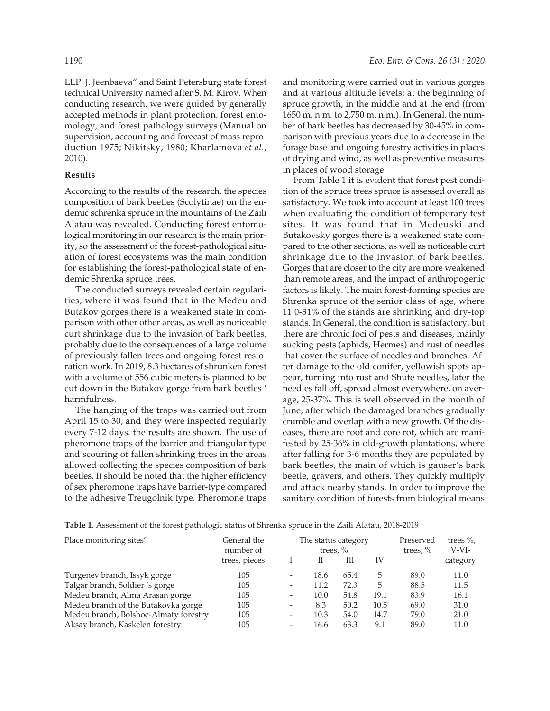LLP. J. Jeenbaeva" and Saint Petersburg state forest technical University named after S. M. Kirov. When conducting research, we were guided by generally accepted methods in plant protection, forest entomology, and forest pathology surveys (Manual on supervision, accounting and forecast of mass reproduction 1975; Nikitsky, 1980; Kharlamova *et al.,* 2010).

### **Results**

According to the results of the research, the species composition of bark beetles (Scolytinae) on the endemic schrenka spruce in the mountains of the Zaili Alatau was revealed. Conducting forest entomological monitoring in our research is the main priority, so the assessment of the forest-pathological situation of forest ecosystems was the main condition for establishing the forest-pathological state of endemic Shrenka spruce trees.

The conducted surveys revealed certain regularities, where it was found that in the Medeu and Butakov gorges there is a weakened state in comparison with other other areas, as well as noticeable curt shrinkage due to the invasion of bark beetles, probably due to the consequences of a large volume of previously fallen trees and ongoing forest restoration work. In 2019, 8.3 hectares of shrunken forest with a volume of 556 cubic meters is planned to be cut down in the Butakov gorge from bark beetles ' harmfulness.

The hanging of the traps was carried out from April 15 to 30, and they were inspected regularly every 7-12 days. the results are shown. The use of pheromone traps of the barrier and triangular type and scouring of fallen shrinking trees in the areas allowed collecting the species composition of bark beetles. It should be noted that the higher efficiency of sex pheromone traps have barrier-type compared to the adhesive Treugolnik type. Pheromone traps

and monitoring were carried out in various gorges and at various altitude levels; at the beginning of spruce growth, in the middle and at the end (from 1650 m. n.m. to 2,750 m. n.m.). In General, the number of bark beetles has decreased by 30-45% in comparison with previous years due to a decrease in the forage base and ongoing forestry activities in places of drying and wind, as well as preventive measures in places of wood storage.

From Table 1 it is evident that forest pest condition of the spruce trees spruce is assessed overall as satisfactory. We took into account at least 100 trees when evaluating the condition of temporary test sites. It was found that in Medeuski and Butakovsky gorges there is a weakened state compared to the other sections, as well as noticeable curt shrinkage due to the invasion of bark beetles. Gorges that are closer to the city are more weakened than remote areas, and the impact of anthropogenic factors is likely. The main forest-forming species are Shrenka spruce of the senior class of age, where 11.0-31% of the stands are shrinking and dry-top stands. In General, the condition is satisfactory, but there are chronic foci of pests and diseases, mainly sucking pests (aphids, Hermes) and rust of needles that cover the surface of needles and branches. After damage to the old conifer, yellowish spots appear, turning into rust and Shute needles, later the needles fall off, spread almost everywhere, on average, 25-37%. This is well observed in the month of June, after which the damaged branches gradually crumble and overlap with a new growth. Of the diseases, there are root and core rot, which are manifested by 25-36% in old-growth plantations, where after falling for 3-6 months they are populated by bark beetles, the main of which is gauser's bark beetle, gravers, and others. They quickly multiply and attack nearby stands. In order to improve the sanitary condition of forests from biological means

| Place monitoring sites'               | General the<br>number of<br>trees, pieces | The status category<br>trees, $\%$ |      |      |      | Preserved<br>trees, $\%$ | trees $\%$ ,<br>V-VI- |
|---------------------------------------|-------------------------------------------|------------------------------------|------|------|------|--------------------------|-----------------------|
|                                       |                                           |                                    | Н    | Ш    | IV   |                          | category              |
| Turgenev branch, Issyk gorge          | 105                                       | $\qquad \qquad \blacksquare$       | 18.6 | 65.4 | 5    | 89.0                     | 11.0                  |
| Talgar branch, Soldier 's gorge       | 105                                       | $\overline{\phantom{a}}$           | 11.2 | 72.3 | 5    | 88.5                     | 11.5                  |
| Medeu branch, Alma Arasan gorge       | 105                                       | $\overline{\phantom{a}}$           | 10.0 | 54.8 | 19.1 | 83.9                     | 16.1                  |
| Medeu branch of the Butakovka gorge   | 105                                       | $\overline{\phantom{a}}$           | 8.3  | 50.2 | 10.5 | 69.0                     | 31.0                  |
| Medeu branch, Bolshoe-Almaty forestry | 105                                       | $\overline{\phantom{a}}$           | 10.3 | 54.0 | 14.7 | 79.0                     | 21.0                  |
| Aksay branch, Kaskelen forestry       | 105                                       | $\overline{\phantom{a}}$           | 16.6 | 63.3 | 9.1  | 89.0                     | 11.0                  |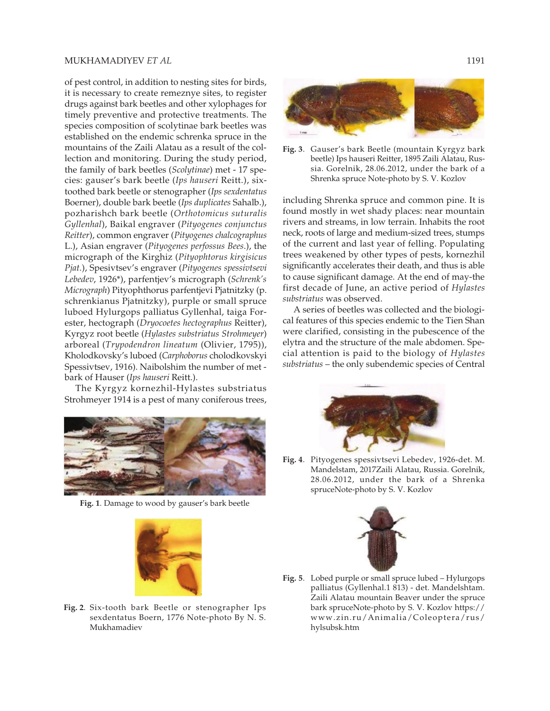#### MUKHAMADIYEV *ET AL* 1191

of pest control, in addition to nesting sites for birds, it is necessary to create remeznye sites, to register drugs against bark beetles and other xylophages for timely preventive and protective treatments. The species composition of scolytinae bark beetles was established on the endemic schrenka spruce in the mountains of the Zaili Alatau as a result of the collection and monitoring. During the study period, the family of bark beetles (*Scolytinae*) met - 17 species: gauser's bark beetle (*Ips hauseri* Reitt.), sixtoothed bark beetle or stenographer (*Ips sexdentatus* Boerner), double bark beetle (*Ips duplicates* Sahalb.), pozharishch bark beetle (*Orthotomicus suturalis Gyllenhal*), Baikal engraver (*Pityogenes conjunctus Reitter*), common engraver (*Pityogenes chalcographus* L.), Asian engraver (*Pityogenes perfossus Bees*.), the micrograph of the Kirghiz (*Pityophtorus kirgisicus Pjat.*), Spesivtsev's engraver (*Pityogenes spessivtsevi Lebedev*, 1926\*), parfentjev's micrograph (*Schrenk's Micrograph*) Pityophthorus parfentjevi Pjatnitzky (p. schrenkianus Pjatnitzky), purple or small spruce luboed Hylurgops palliatus Gyllenhal, taiga Forester, hectograph (*Dryocoetes hectographus* Reitter), Kyrgyz root beetle (*Hylastes substriatus Strohmeyer*) arboreal (*Trypodendron lineatum* (Olivier, 1795)), Kholodkovsky's luboed (*Carphoborus* cholodkovskyi Spessivtsev, 1916). Naibolshim the number of met bark of Hauser (*Ips hauseri* Reitt.).

The Kyrgyz kornezhil-Hylastes substriatus Strohmeyer 1914 is a pest of many coniferous trees,



**Fig. 1**. Damage to wood by gauser's bark beetle



**Fig. 2**. Six-tooth bark Beetle or stenographer Ips sexdentatus Boern, 1776 Note-photo By N. S. Mukhamadiev



**Fig. 3**. Gauser's bark Beetle (mountain Kyrgyz bark beetle) Ips hauseri Reitter, 1895 Zaili Alatau, Russia. Gorelnik, 28.06.2012, under the bark of a Shrenka spruce Note-photo by S. V. Kozlov

including Shrenka spruce and common pine. It is found mostly in wet shady places: near mountain rivers and streams, in low terrain. Inhabits the root neck, roots of large and medium-sized trees, stumps of the current and last year of felling. Populating trees weakened by other types of pests, kornezhil significantly accelerates their death, and thus is able to cause significant damage. At the end of may-the first decade of June, an active period of *Hylastes substriatus* was observed.

A series of beetles was collected and the biological features of this species endemic to the Tien Shan were clarified, consisting in the pubescence of the elytra and the structure of the male abdomen. Special attention is paid to the biology of *Hylastes substriatus* – the only subendemic species of Central



**Fig. 4**. Pityogenes spessivtsevi Lebedev, 1926-det. M. Mandelstam, 2017Zaili Alatau, Russia. Gorelnik, 28.06.2012, under the bark of a Shrenka spruceNote-photo by S. V. Kozlov



**Fig. 5**. Lobed purple or small spruce lubed – Hylurgops palliatus (Gyllenhal.1 813) - det. Mandelshtam. Zaili Alatau mountain Beaver under the spruce bark spruceNote-photo by S. V. Kozlov https:// www.zin.ru/Animalia/Coleoptera/rus/ hylsubsk.htm